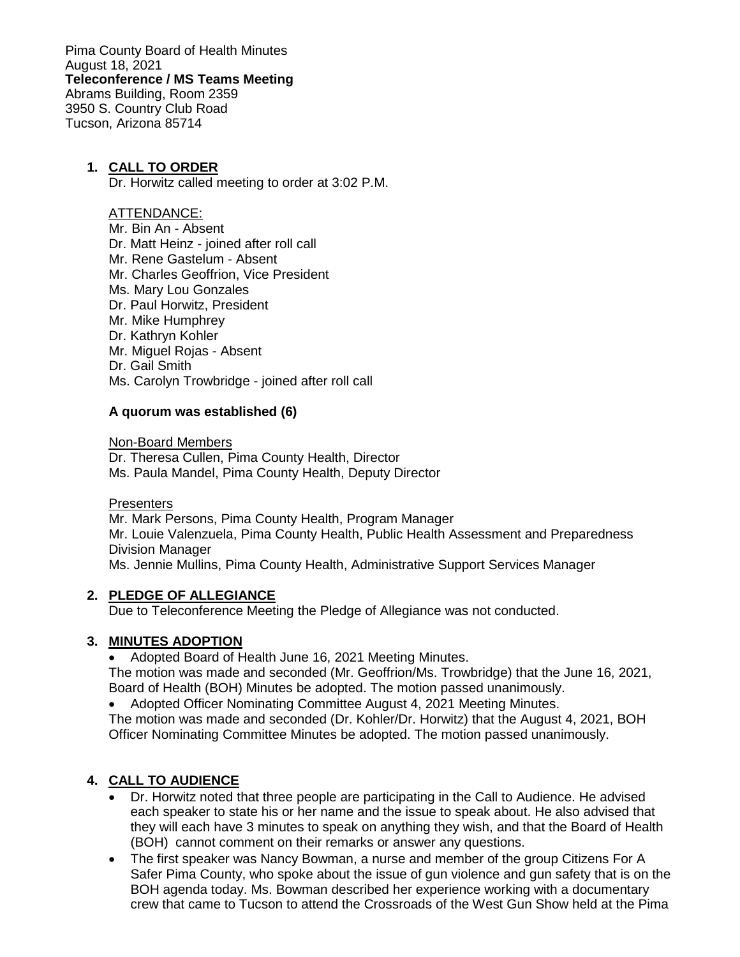Pima County Board of Health Minutes August 18, 2021 **Teleconference / MS Teams Meeting** Abrams Building, Room 2359 3950 S. Country Club Road Tucson, Arizona 85714

#### **1. CALL TO ORDER**

Dr. Horwitz called meeting to order at 3:02 P.M.

#### ATTENDANCE:

- Mr. Bin An Absent
- Dr. Matt Heinz joined after roll call
- Mr. Rene Gastelum Absent
- Mr. Charles Geoffrion, Vice President
- Ms. Mary Lou Gonzales
- Dr. Paul Horwitz, President
- Mr. Mike Humphrey
- Dr. Kathryn Kohler
- Mr. Miguel Rojas Absent
- Dr. Gail Smith
- Ms. Carolyn Trowbridge joined after roll call

#### **A quorum was established (6)**

Non-Board Members

Dr. Theresa Cullen, Pima County Health, Director Ms. Paula Mandel, Pima County Health, Deputy Director

#### **Presenters**

Mr. Mark Persons, Pima County Health, Program Manager Mr. Louie Valenzuela, Pima County Health, Public Health Assessment and Preparedness Division Manager Ms. Jennie Mullins, Pima County Health, Administrative Support Services Manager

#### **2. PLEDGE OF ALLEGIANCE**

Due to Teleconference Meeting the Pledge of Allegiance was not conducted.

#### **3. MINUTES ADOPTION**

• Adopted Board of Health June 16, 2021 Meeting Minutes.

The motion was made and seconded (Mr. Geoffrion/Ms. Trowbridge) that the June 16, 2021, Board of Health (BOH) Minutes be adopted. The motion passed unanimously.

• Adopted Officer Nominating Committee August 4, 2021 Meeting Minutes.

The motion was made and seconded (Dr. Kohler/Dr. Horwitz) that the August 4, 2021, BOH Officer Nominating Committee Minutes be adopted. The motion passed unanimously.

### **4. CALL TO AUDIENCE**

- Dr. Horwitz noted that three people are participating in the Call to Audience. He advised each speaker to state his or her name and the issue to speak about. He also advised that they will each have 3 minutes to speak on anything they wish, and that the Board of Health (BOH) cannot comment on their remarks or answer any questions.
- The first speaker was Nancy Bowman, a nurse and member of the group Citizens For A Safer Pima County, who spoke about the issue of gun violence and gun safety that is on the BOH agenda today. Ms. Bowman described her experience working with a documentary crew that came to Tucson to attend the Crossroads of the West Gun Show held at the Pima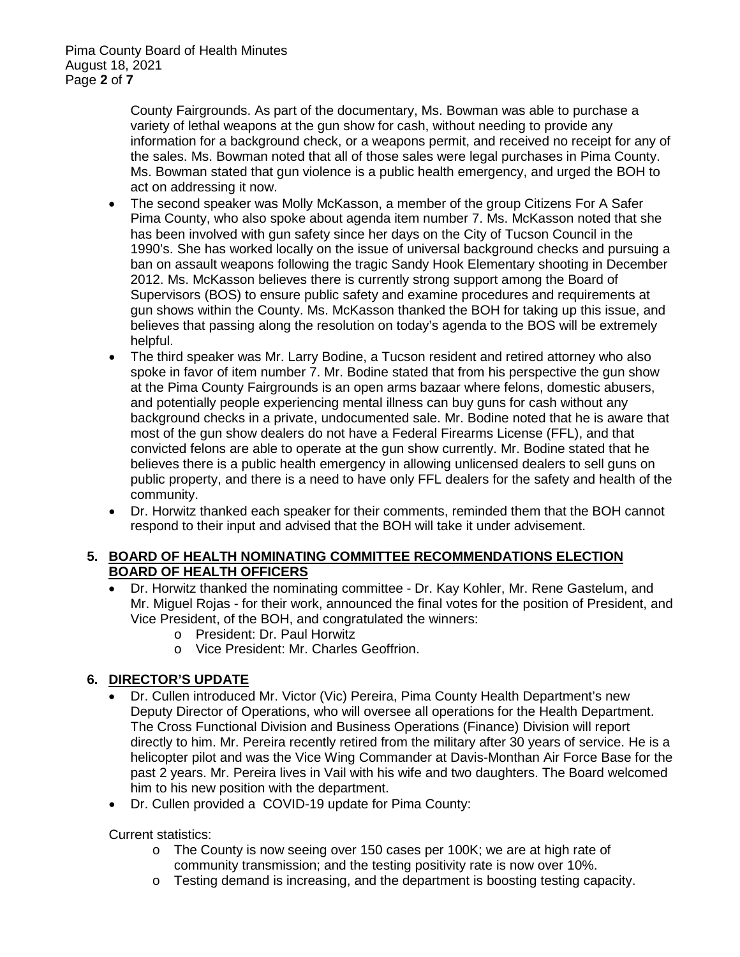County Fairgrounds. As part of the documentary, Ms. Bowman was able to purchase a variety of lethal weapons at the gun show for cash, without needing to provide any information for a background check, or a weapons permit, and received no receipt for any of the sales. Ms. Bowman noted that all of those sales were legal purchases in Pima County. Ms. Bowman stated that gun violence is a public health emergency, and urged the BOH to act on addressing it now.

- The second speaker was Molly McKasson, a member of the group Citizens For A Safer Pima County, who also spoke about agenda item number 7. Ms. McKasson noted that she has been involved with gun safety since her days on the City of Tucson Council in the 1990's. She has worked locally on the issue of universal background checks and pursuing a ban on assault weapons following the tragic Sandy Hook Elementary shooting in December 2012. Ms. McKasson believes there is currently strong support among the Board of Supervisors (BOS) to ensure public safety and examine procedures and requirements at gun shows within the County. Ms. McKasson thanked the BOH for taking up this issue, and believes that passing along the resolution on today's agenda to the BOS will be extremely helpful.
- The third speaker was Mr. Larry Bodine, a Tucson resident and retired attorney who also spoke in favor of item number 7. Mr. Bodine stated that from his perspective the gun show at the Pima County Fairgrounds is an open arms bazaar where felons, domestic abusers, and potentially people experiencing mental illness can buy guns for cash without any background checks in a private, undocumented sale. Mr. Bodine noted that he is aware that most of the gun show dealers do not have a Federal Firearms License (FFL), and that convicted felons are able to operate at the gun show currently. Mr. Bodine stated that he believes there is a public health emergency in allowing unlicensed dealers to sell guns on public property, and there is a need to have only FFL dealers for the safety and health of the community.
- Dr. Horwitz thanked each speaker for their comments, reminded them that the BOH cannot respond to their input and advised that the BOH will take it under advisement.

## **5. BOARD OF HEALTH NOMINATING COMMITTEE RECOMMENDATIONS ELECTION BOARD OF HEALTH OFFICERS**

- Dr. Horwitz thanked the nominating committee Dr. Kay Kohler, Mr. Rene Gastelum, and Mr. Miguel Rojas - for their work, announced the final votes for the position of President, and Vice President, of the BOH, and congratulated the winners:
	- o President: Dr. Paul Horwitz
	- o Vice President: Mr. Charles Geoffrion.

# **6. DIRECTOR'S UPDATE**

- Dr. Cullen introduced Mr. Victor (Vic) Pereira, Pima County Health Department's new Deputy Director of Operations, who will oversee all operations for the Health Department. The Cross Functional Division and Business Operations (Finance) Division will report directly to him. Mr. Pereira recently retired from the military after 30 years of service. He is a helicopter pilot and was the Vice Wing Commander at Davis-Monthan Air Force Base for the past 2 years. Mr. Pereira lives in Vail with his wife and two daughters. The Board welcomed him to his new position with the department.
- Dr. Cullen provided a COVID-19 update for Pima County:

Current statistics:

- o The County is now seeing over 150 cases per 100K; we are at high rate of community transmission; and the testing positivity rate is now over 10%.
- o Testing demand is increasing, and the department is boosting testing capacity.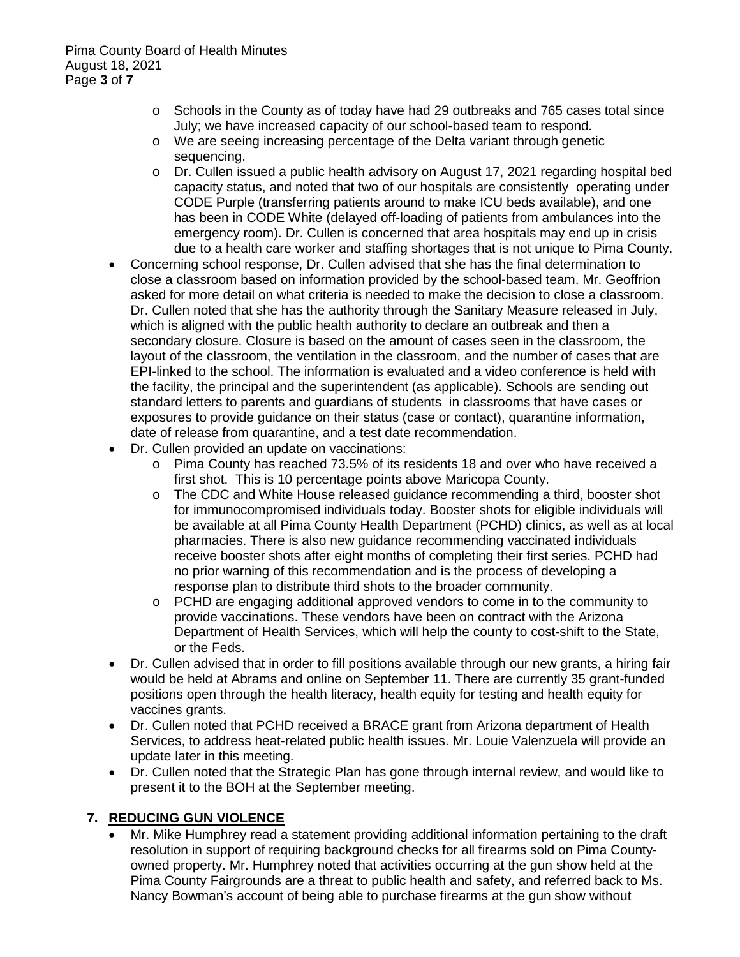- o Schools in the County as of today have had 29 outbreaks and 765 cases total since July; we have increased capacity of our school-based team to respond.
- o We are seeing increasing percentage of the Delta variant through genetic sequencing.
- o Dr. Cullen issued a public health advisory on August 17, 2021 regarding hospital bed capacity status, and noted that two of our hospitals are consistently operating under CODE Purple (transferring patients around to make ICU beds available), and one has been in CODE White (delayed off-loading of patients from ambulances into the emergency room). Dr. Cullen is concerned that area hospitals may end up in crisis due to a health care worker and staffing shortages that is not unique to Pima County.
- Concerning school response, Dr. Cullen advised that she has the final determination to close a classroom based on information provided by the school-based team. Mr. Geoffrion asked for more detail on what criteria is needed to make the decision to close a classroom. Dr. Cullen noted that she has the authority through the Sanitary Measure released in July, which is aligned with the public health authority to declare an outbreak and then a secondary closure. Closure is based on the amount of cases seen in the classroom, the layout of the classroom, the ventilation in the classroom, and the number of cases that are EPI-linked to the school. The information is evaluated and a video conference is held with the facility, the principal and the superintendent (as applicable). Schools are sending out standard letters to parents and guardians of students in classrooms that have cases or exposures to provide guidance on their status (case or contact), quarantine information, date of release from quarantine, and a test date recommendation.
- Dr. Cullen provided an update on vaccinations:
	- o Pima County has reached 73.5% of its residents 18 and over who have received a first shot. This is 10 percentage points above Maricopa County.
	- o The CDC and White House released guidance recommending a third, booster shot for immunocompromised individuals today. Booster shots for eligible individuals will be available at all Pima County Health Department (PCHD) clinics, as well as at local pharmacies. There is also new guidance recommending vaccinated individuals receive booster shots after eight months of completing their first series. PCHD had no prior warning of this recommendation and is the process of developing a response plan to distribute third shots to the broader community.
	- o PCHD are engaging additional approved vendors to come in to the community to provide vaccinations. These vendors have been on contract with the Arizona Department of Health Services, which will help the county to cost-shift to the State, or the Feds.
- Dr. Cullen advised that in order to fill positions available through our new grants, a hiring fair would be held at Abrams and online on September 11. There are currently 35 grant-funded positions open through the health literacy, health equity for testing and health equity for vaccines grants.
- Dr. Cullen noted that PCHD received a BRACE grant from Arizona department of Health Services, to address heat-related public health issues. Mr. Louie Valenzuela will provide an update later in this meeting.
- Dr. Cullen noted that the Strategic Plan has gone through internal review, and would like to present it to the BOH at the September meeting.

# **7. REDUCING GUN VIOLENCE**

• Mr. Mike Humphrey read a statement providing additional information pertaining to the draft resolution in support of requiring background checks for all firearms sold on Pima Countyowned property. Mr. Humphrey noted that activities occurring at the gun show held at the Pima County Fairgrounds are a threat to public health and safety, and referred back to Ms. Nancy Bowman's account of being able to purchase firearms at the gun show without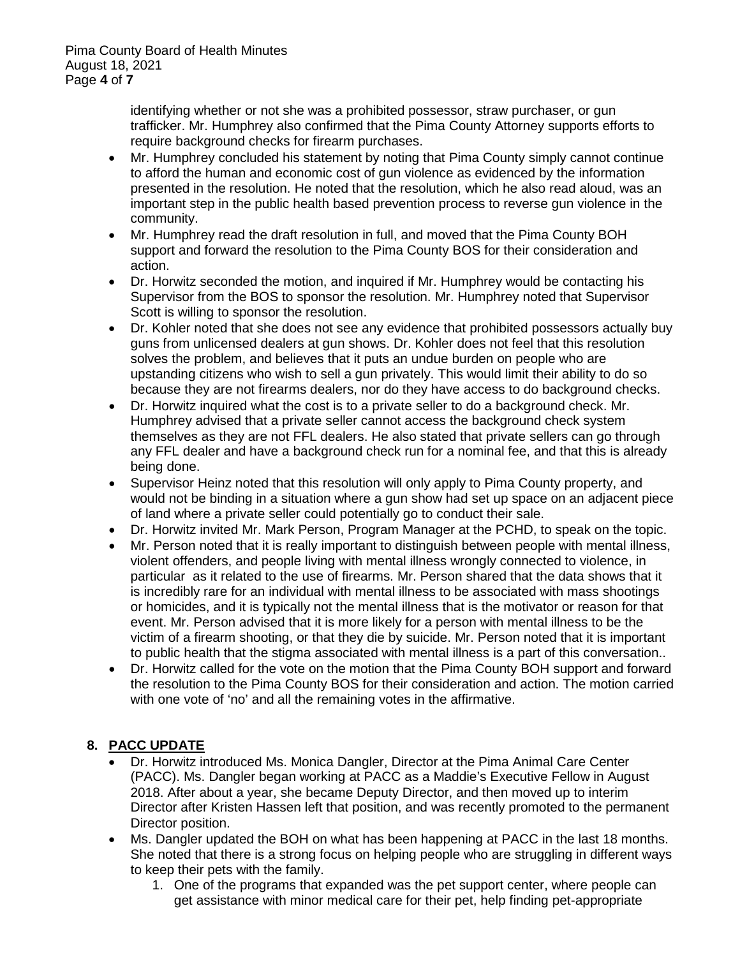identifying whether or not she was a prohibited possessor, straw purchaser, or gun trafficker. Mr. Humphrey also confirmed that the Pima County Attorney supports efforts to require background checks for firearm purchases.

- Mr. Humphrey concluded his statement by noting that Pima County simply cannot continue to afford the human and economic cost of gun violence as evidenced by the information presented in the resolution. He noted that the resolution, which he also read aloud, was an important step in the public health based prevention process to reverse gun violence in the community.
- Mr. Humphrey read the draft resolution in full, and moved that the Pima County BOH support and forward the resolution to the Pima County BOS for their consideration and action.
- Dr. Horwitz seconded the motion, and inquired if Mr. Humphrey would be contacting his Supervisor from the BOS to sponsor the resolution. Mr. Humphrey noted that Supervisor Scott is willing to sponsor the resolution.
- Dr. Kohler noted that she does not see any evidence that prohibited possessors actually buy guns from unlicensed dealers at gun shows. Dr. Kohler does not feel that this resolution solves the problem, and believes that it puts an undue burden on people who are upstanding citizens who wish to sell a gun privately. This would limit their ability to do so because they are not firearms dealers, nor do they have access to do background checks.
- Dr. Horwitz inquired what the cost is to a private seller to do a background check. Mr. Humphrey advised that a private seller cannot access the background check system themselves as they are not FFL dealers. He also stated that private sellers can go through any FFL dealer and have a background check run for a nominal fee, and that this is already being done.
- Supervisor Heinz noted that this resolution will only apply to Pima County property, and would not be binding in a situation where a gun show had set up space on an adjacent piece of land where a private seller could potentially go to conduct their sale.
- Dr. Horwitz invited Mr. Mark Person, Program Manager at the PCHD, to speak on the topic.
- Mr. Person noted that it is really important to distinguish between people with mental illness, violent offenders, and people living with mental illness wrongly connected to violence, in particular as it related to the use of firearms. Mr. Person shared that the data shows that it is incredibly rare for an individual with mental illness to be associated with mass shootings or homicides, and it is typically not the mental illness that is the motivator or reason for that event. Mr. Person advised that it is more likely for a person with mental illness to be the victim of a firearm shooting, or that they die by suicide. Mr. Person noted that it is important to public health that the stigma associated with mental illness is a part of this conversation..
- Dr. Horwitz called for the vote on the motion that the Pima County BOH support and forward the resolution to the Pima County BOS for their consideration and action. The motion carried with one vote of 'no' and all the remaining votes in the affirmative.

# **8. PACC UPDATE**

- Dr. Horwitz introduced Ms. Monica Dangler, Director at the Pima Animal Care Center (PACC). Ms. Dangler began working at PACC as a Maddie's Executive Fellow in August 2018. After about a year, she became Deputy Director, and then moved up to interim Director after Kristen Hassen left that position, and was recently promoted to the permanent Director position.
- Ms. Dangler updated the BOH on what has been happening at PACC in the last 18 months. She noted that there is a strong focus on helping people who are struggling in different ways to keep their pets with the family.
	- 1. One of the programs that expanded was the pet support center, where people can get assistance with minor medical care for their pet, help finding pet-appropriate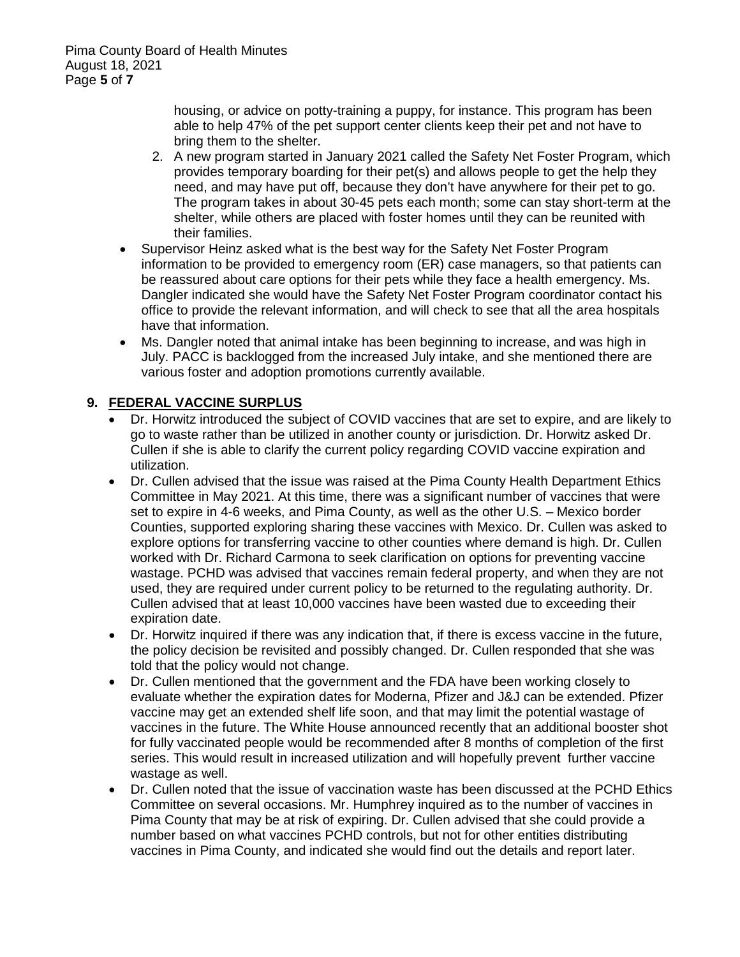housing, or advice on potty-training a puppy, for instance. This program has been able to help 47% of the pet support center clients keep their pet and not have to bring them to the shelter.

- 2. A new program started in January 2021 called the Safety Net Foster Program, which provides temporary boarding for their pet(s) and allows people to get the help they need, and may have put off, because they don't have anywhere for their pet to go. The program takes in about 30-45 pets each month; some can stay short-term at the shelter, while others are placed with foster homes until they can be reunited with their families.
- Supervisor Heinz asked what is the best way for the Safety Net Foster Program information to be provided to emergency room (ER) case managers, so that patients can be reassured about care options for their pets while they face a health emergency. Ms. Dangler indicated she would have the Safety Net Foster Program coordinator contact his office to provide the relevant information, and will check to see that all the area hospitals have that information.
- Ms. Dangler noted that animal intake has been beginning to increase, and was high in July. PACC is backlogged from the increased July intake, and she mentioned there are various foster and adoption promotions currently available.

# **9. FEDERAL VACCINE SURPLUS**

- Dr. Horwitz introduced the subject of COVID vaccines that are set to expire, and are likely to go to waste rather than be utilized in another county or jurisdiction. Dr. Horwitz asked Dr. Cullen if she is able to clarify the current policy regarding COVID vaccine expiration and utilization.
- Dr. Cullen advised that the issue was raised at the Pima County Health Department Ethics Committee in May 2021. At this time, there was a significant number of vaccines that were set to expire in 4-6 weeks, and Pima County, as well as the other U.S. – Mexico border Counties, supported exploring sharing these vaccines with Mexico. Dr. Cullen was asked to explore options for transferring vaccine to other counties where demand is high. Dr. Cullen worked with Dr. Richard Carmona to seek clarification on options for preventing vaccine wastage. PCHD was advised that vaccines remain federal property, and when they are not used, they are required under current policy to be returned to the regulating authority. Dr. Cullen advised that at least 10,000 vaccines have been wasted due to exceeding their expiration date.
- Dr. Horwitz inquired if there was any indication that, if there is excess vaccine in the future, the policy decision be revisited and possibly changed. Dr. Cullen responded that she was told that the policy would not change.
- Dr. Cullen mentioned that the government and the FDA have been working closely to evaluate whether the expiration dates for Moderna, Pfizer and J&J can be extended. Pfizer vaccine may get an extended shelf life soon, and that may limit the potential wastage of vaccines in the future. The White House announced recently that an additional booster shot for fully vaccinated people would be recommended after 8 months of completion of the first series. This would result in increased utilization and will hopefully prevent further vaccine wastage as well.
- Dr. Cullen noted that the issue of vaccination waste has been discussed at the PCHD Ethics Committee on several occasions. Mr. Humphrey inquired as to the number of vaccines in Pima County that may be at risk of expiring. Dr. Cullen advised that she could provide a number based on what vaccines PCHD controls, but not for other entities distributing vaccines in Pima County, and indicated she would find out the details and report later.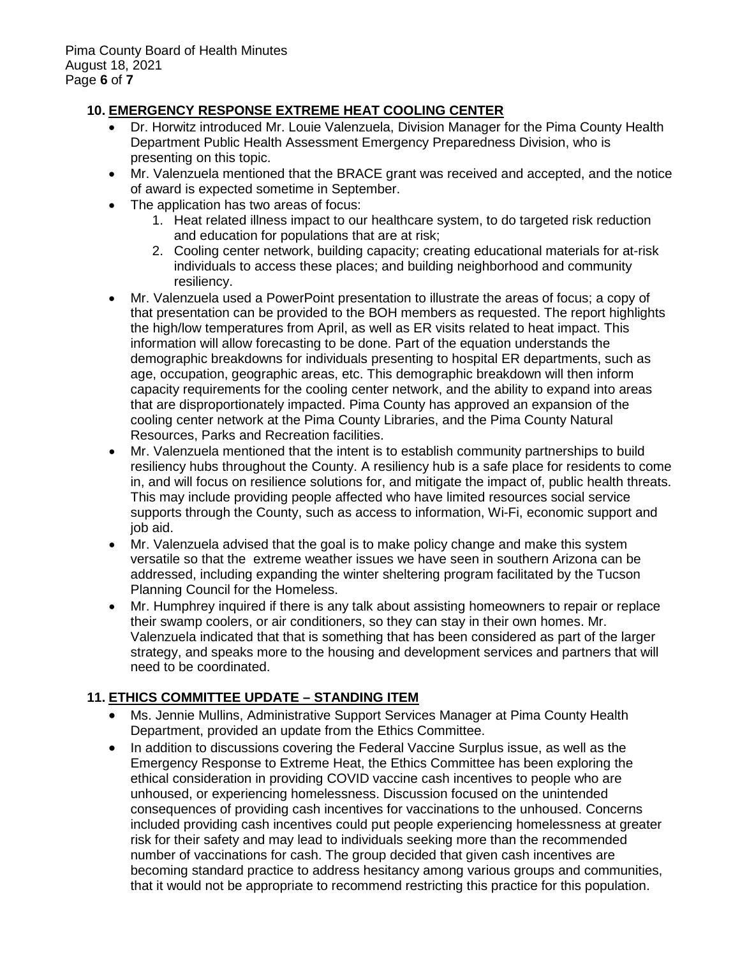# **10. EMERGENCY RESPONSE EXTREME HEAT COOLING CENTER**

- Dr. Horwitz introduced Mr. Louie Valenzuela, Division Manager for the Pima County Health Department Public Health Assessment Emergency Preparedness Division, who is presenting on this topic.
- Mr. Valenzuela mentioned that the BRACE grant was received and accepted, and the notice of award is expected sometime in September.
- The application has two areas of focus:
	- 1. Heat related illness impact to our healthcare system, to do targeted risk reduction and education for populations that are at risk;
	- 2. Cooling center network, building capacity; creating educational materials for at-risk individuals to access these places; and building neighborhood and community resiliency.
- Mr. Valenzuela used a PowerPoint presentation to illustrate the areas of focus; a copy of that presentation can be provided to the BOH members as requested. The report highlights the high/low temperatures from April, as well as ER visits related to heat impact. This information will allow forecasting to be done. Part of the equation understands the demographic breakdowns for individuals presenting to hospital ER departments, such as age, occupation, geographic areas, etc. This demographic breakdown will then inform capacity requirements for the cooling center network, and the ability to expand into areas that are disproportionately impacted. Pima County has approved an expansion of the cooling center network at the Pima County Libraries, and the Pima County Natural Resources, Parks and Recreation facilities.
- Mr. Valenzuela mentioned that the intent is to establish community partnerships to build resiliency hubs throughout the County. A resiliency hub is a safe place for residents to come in, and will focus on resilience solutions for, and mitigate the impact of, public health threats. This may include providing people affected who have limited resources social service supports through the County, such as access to information, Wi-Fi, economic support and job aid.
- Mr. Valenzuela advised that the goal is to make policy change and make this system versatile so that the extreme weather issues we have seen in southern Arizona can be addressed, including expanding the winter sheltering program facilitated by the Tucson Planning Council for the Homeless.
- Mr. Humphrey inquired if there is any talk about assisting homeowners to repair or replace their swamp coolers, or air conditioners, so they can stay in their own homes. Mr. Valenzuela indicated that that is something that has been considered as part of the larger strategy, and speaks more to the housing and development services and partners that will need to be coordinated.

# **11. ETHICS COMMITTEE UPDATE – STANDING ITEM**

- Ms. Jennie Mullins, Administrative Support Services Manager at Pima County Health Department, provided an update from the Ethics Committee.
- In addition to discussions covering the Federal Vaccine Surplus issue, as well as the Emergency Response to Extreme Heat, the Ethics Committee has been exploring the ethical consideration in providing COVID vaccine cash incentives to people who are unhoused, or experiencing homelessness. Discussion focused on the unintended consequences of providing cash incentives for vaccinations to the unhoused. Concerns included providing cash incentives could put people experiencing homelessness at greater risk for their safety and may lead to individuals seeking more than the recommended number of vaccinations for cash. The group decided that given cash incentives are becoming standard practice to address hesitancy among various groups and communities, that it would not be appropriate to recommend restricting this practice for this population.